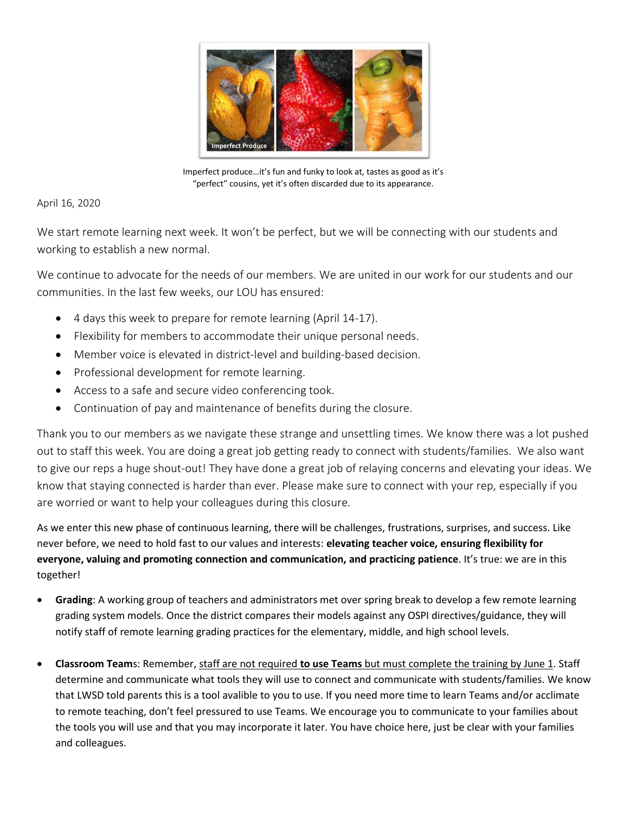

Imperfect produce…it's fun and funky to look at, tastes as good as it's "perfect" cousins, yet it's often discarded due to its appearance.

## April 16, 2020

We start remote learning next week. It won't be perfect, but we will be connecting with our students and working to establish a new normal.

We continue to advocate for the needs of our members. We are united in our work for our students and our communities. In the last few weeks, our LOU has ensured:

- 4 days this week to prepare for remote learning (April 14-17).
- Flexibility for members to accommodate their unique personal needs.
- Member voice is elevated in district-level and building-based decision.
- Professional development for remote learning.
- Access to a safe and secure video conferencing took.
- Continuation of pay and maintenance of benefits during the closure.

Thank you to our members as we navigate these strange and unsettling times. We know there was a lot pushed out to staff this week. You are doing a great job getting ready to connect with students/families. We also want to give our reps a huge shout-out! They have done a great job of relaying concerns and elevating your ideas. We know that staying connected is harder than ever. Please make sure to connect with your rep, especially if you are worried or want to help your colleagues during this closure.

As we enter this new phase of continuous learning, there will be challenges, frustrations, surprises, and success. Like never before, we need to hold fast to our values and interests: **elevating teacher voice, ensuring flexibility for everyone, valuing and promoting connection and communication, and practicing patience**. It's true: we are in this together!

- **Grading**: A working group of teachers and administrators met over spring break to develop a few remote learning grading system models. Once the district compares their models against any OSPI directives/guidance, they will notify staff of remote learning grading practices for the elementary, middle, and high school levels.
- **Classroom Team**s: Remember, staff are not required **to use Teams** but must complete the training by June 1. Staff determine and communicate what tools they will use to connect and communicate with students/families. We know that LWSD told parents this is a tool avalible to you to use. If you need more time to learn Teams and/or acclimate to remote teaching, don't feel pressured to use Teams. We encourage you to communicate to your families about the tools you will use and that you may incorporate it later. You have choice here, just be clear with your families and colleagues.